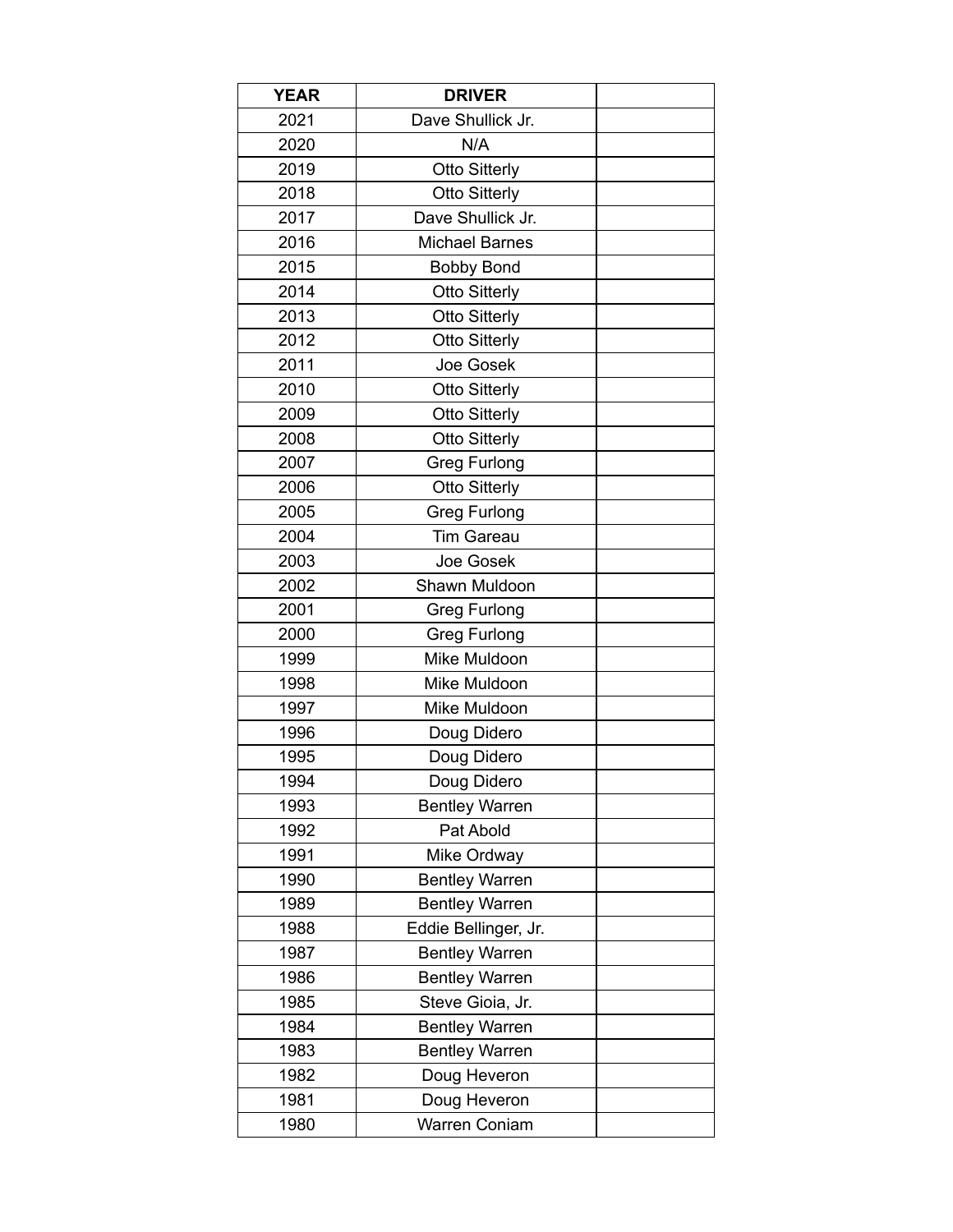| <b>YEAR</b> | <b>DRIVER</b>         |  |
|-------------|-----------------------|--|
| 2021        | Dave Shullick Jr.     |  |
| 2020        | N/A                   |  |
| 2019        | <b>Otto Sitterly</b>  |  |
| 2018        | <b>Otto Sitterly</b>  |  |
| 2017        | Dave Shullick Jr.     |  |
| 2016        | <b>Michael Barnes</b> |  |
| 2015        | <b>Bobby Bond</b>     |  |
| 2014        | <b>Otto Sitterly</b>  |  |
| 2013        | <b>Otto Sitterly</b>  |  |
| 2012        | <b>Otto Sitterly</b>  |  |
| 2011        | Joe Gosek             |  |
| 2010        | <b>Otto Sitterly</b>  |  |
| 2009        | <b>Otto Sitterly</b>  |  |
| 2008        | <b>Otto Sitterly</b>  |  |
| 2007        | <b>Greg Furlong</b>   |  |
| 2006        | <b>Otto Sitterly</b>  |  |
| 2005        | <b>Greg Furlong</b>   |  |
| 2004        | <b>Tim Gareau</b>     |  |
| 2003        | Joe Gosek             |  |
| 2002        | Shawn Muldoon         |  |
| 2001        | <b>Greg Furlong</b>   |  |
| 2000        | <b>Greg Furlong</b>   |  |
| 1999        | Mike Muldoon          |  |
| 1998        | Mike Muldoon          |  |
| 1997        | Mike Muldoon          |  |
| 1996        | Doug Didero           |  |
| 1995        | Doug Didero           |  |
| 1994        | Doug Didero           |  |
| 1993        | <b>Bentley Warren</b> |  |
| 1992        | Pat Abold             |  |
| 1991        | Mike Ordway           |  |
| 1990        | <b>Bentley Warren</b> |  |
| 1989        | <b>Bentley Warren</b> |  |
| 1988        | Eddie Bellinger, Jr.  |  |
| 1987        | <b>Bentley Warren</b> |  |
| 1986        | <b>Bentley Warren</b> |  |
| 1985        | Steve Gioia, Jr.      |  |
| 1984        | <b>Bentley Warren</b> |  |
| 1983        | <b>Bentley Warren</b> |  |
| 1982        | Doug Heveron          |  |
| 1981        | Doug Heveron          |  |
| 1980        | <b>Warren Coniam</b>  |  |